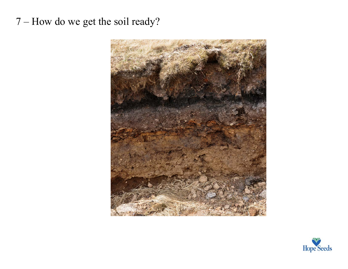## 7 – How do we get the soil ready?